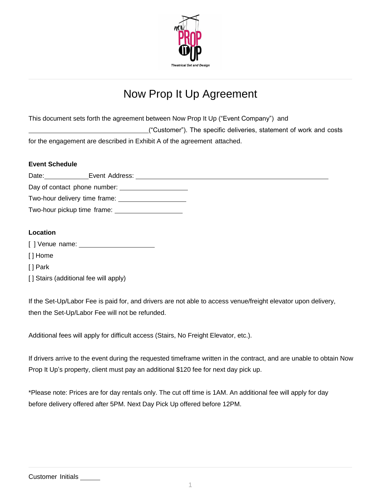

# Now Prop It Up Agreement

This document sets forth the agreement between Now Prop It Up ("Event Company") and

("Customer"). The specific deliveries, statement of work and costs

for the engagement are described in Exhibit A of the agreement attached.

#### **Event Schedule**

| Date: | Event Address: |  |  |
|-------|----------------|--|--|
|       |                |  |  |
|       |                |  |  |
|       |                |  |  |
|       |                |  |  |

#### **Location**

[ ] Venue name: \_\_\_

[ ] Home

[ ] Park

[] Stairs (additional fee will apply)

If the Set-Up/Labor Fee is paid for, and drivers are not able to access venue/freight elevator upon delivery, then the Set-Up/Labor Fee will not be refunded.

Additional fees will apply for difficult access (Stairs, No Freight Elevator, etc.).

If drivers arrive to the event during the requested timeframe written in the contract, and are unable to obtain Now Prop It Up's property, client must pay an additional \$120 fee for next day pick up.

\*Please note: Prices are for day rentals only. The cut off time is 1AM. An additional fee will apply for day before delivery offered after 5PM. Next Day Pick Up offered before 12PM.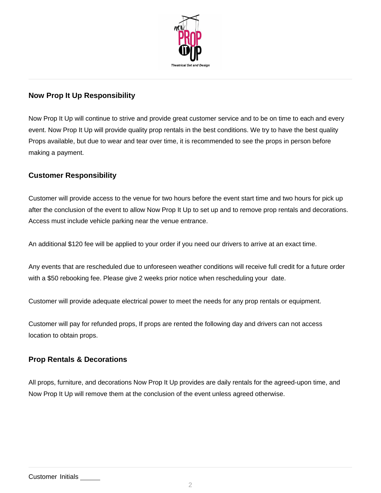

## **Now Prop It Up Responsibility**

Now Prop It Up will continue to strive and provide great customer service and to be on time to each and every event. Now Prop It Up will provide quality prop rentals in the best conditions. We try to have the best quality Props available, but due to wear and tear over time, it is recommended to see the props in person before making a payment.

#### **Customer Responsibility**

Customer will provide access to the venue for two hours before the event start time and two hours for pick up after the conclusion of the event to allow Now Prop It Up to set up and to remove prop rentals and decorations. Access must include vehicle parking near the venue entrance.

An additional \$120 fee will be applied to your order if you need our drivers to arrive at an exact time.

Any events that are rescheduled due to unforeseen weather conditions will receive full credit for a future order with a \$50 rebooking fee. Please give 2 weeks prior notice when rescheduling your date.

Customer will provide adequate electrical power to meet the needs for any prop rentals or equipment.

Customer will pay for refunded props, If props are rented the following day and drivers can not access location to obtain props.

# **Prop Rentals & Decorations**

All props, furniture, and decorations Now Prop It Up provides are daily rentals for the agreed-upon time, and Now Prop It Up will remove them at the conclusion of the event unless agreed otherwise.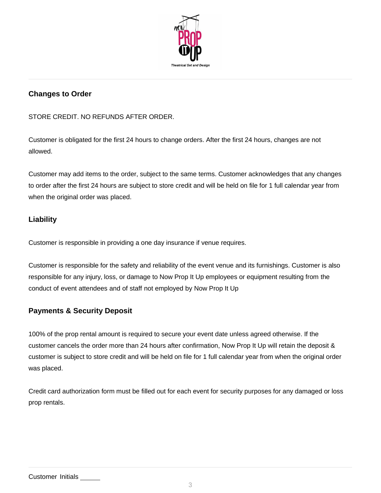

# **Changes to Order**

STORE CREDIT. NO REFUNDS AFTER ORDER.

Customer is obligated for the first 24 hours to change orders. After the first 24 hours, changes are not allowed.

Customer may add items to the order, subject to the same terms. Customer acknowledges that any changes to order after the first 24 hours are subject to store credit and will be held on file for 1 full calendar year from when the original order was placed.

### **Liability**

Customer is responsible in providing a one day insurance if venue requires.

Customer is responsible for the safety and reliability of the event venue and its furnishings. Customer is also responsible for any injury, loss, or damage to Now Prop It Up employees or equipment resulting from the conduct of event attendees and of staff not employed by Now Prop It Up

# **Payments & Security Deposit**

100% of the prop rental amount is required to secure your event date unless agreed otherwise. If the customer cancels the order more than 24 hours after confirmation, Now Prop It Up will retain the deposit & customer is subject to store credit and will be held on file for 1 full calendar year from when the original order was placed.

Credit card authorization form must be filled out for each event for security purposes for any damaged or loss prop rentals.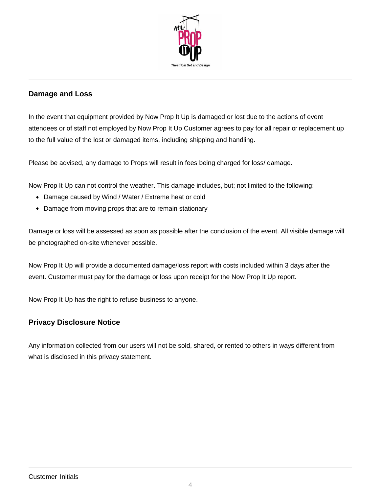

# **Damage and Loss**

In the event that equipment provided by Now Prop It Up is damaged or lost due to the actions of event attendees or of staff not employed by Now Prop It Up Customer agrees to pay for all repair or replacement up to the full value of the lost or damaged items, including shipping and handling.

Please be advised, any damage to Props will result in fees being charged for loss/ damage.

Now Prop It Up can not control the weather. This damage includes, but; not limited to the following:

- Damage caused by Wind / Water / Extreme heat or cold
- Damage from moving props that are to remain stationary

Damage or loss will be assessed as soon as possible after the conclusion of the event. All visible damage will be photographed on-site whenever possible.

Now Prop It Up will provide a documented damage/loss report with costs included within 3 days after the event. Customer must pay for the damage or loss upon receipt for the Now Prop It Up report.

Now Prop It Up has the right to refuse business to anyone.

#### **Privacy Disclosure Notice**

Any information collected from our users will not be sold, shared, or rented to others in ways different from what is disclosed in this privacy statement.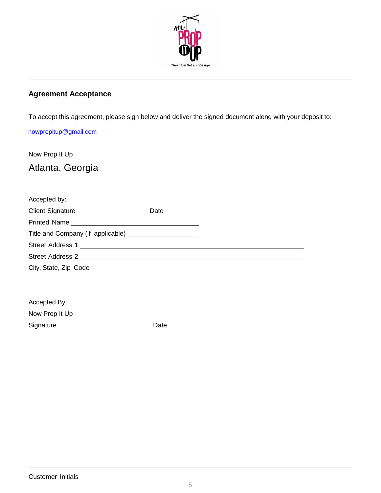

# **Agreement Acceptance**

To accept this agreement, please sign below and deliver the signed document along with your deposit to:

#### [nowpropitup@gmail.com](mailto:nowpropitup@gmail.com)

Now Prop It Up Atlanta, Georgia

| Accepted by:                            |                       |  |  |  |  |
|-----------------------------------------|-----------------------|--|--|--|--|
| Client Signature_______________________ | Date <u>_________</u> |  |  |  |  |
|                                         |                       |  |  |  |  |
|                                         |                       |  |  |  |  |
|                                         |                       |  |  |  |  |
| Street Address 2                        |                       |  |  |  |  |
| City, State, Zip Code _                 |                       |  |  |  |  |

| Accepted By:   |      |
|----------------|------|
| Now Prop It Up |      |
| Signature      | Date |